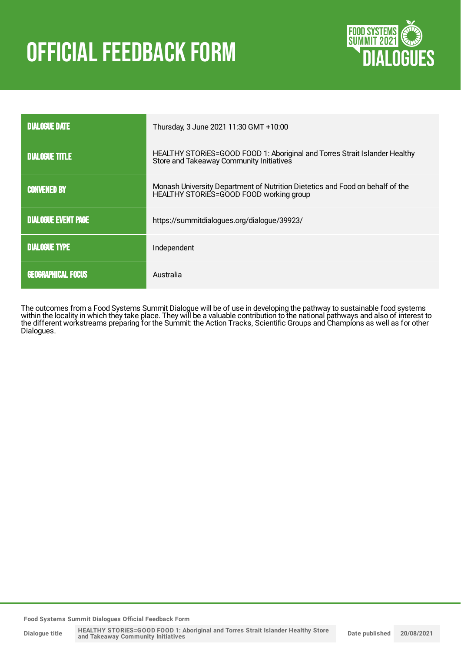# **OFFICIAL FEEDBACK FORM**



| <b>DIALOGUE DATE</b>       | Thursday, 3 June 2021 11:30 GMT +10:00                                                                                   |
|----------------------------|--------------------------------------------------------------------------------------------------------------------------|
| <b>DIALOGUE TITLE</b>      | HEALTHY STORIES=GOOD FOOD 1: Aboriginal and Torres Strait Islander Healthy<br>Store and Takeaway Community Initiatives   |
| <b>CONVENED BY</b>         | Monash University Department of Nutrition Dietetics and Food on behalf of the<br>HEALTHY STORIES=GOOD FOOD working group |
| <b>DIALOGUE EVENT PAGE</b> | https://summitdialogues.org/dialogue/39923/                                                                              |
| <b>DIALOGUE TYPE</b>       | Independent                                                                                                              |
| <b>GEOGRAPHICAL FOCUS</b>  | Australia                                                                                                                |

The outcomes from a Food Systems Summit Dialogue will be of use in developing the pathway to sustainable food systems within the locality in which they take place. They will be a valuable contribution to the national pathways and also of interest to the different workstreams preparing for the Summit: the Action Tracks, Scientific Groups and Champions as well as for other Dialogues.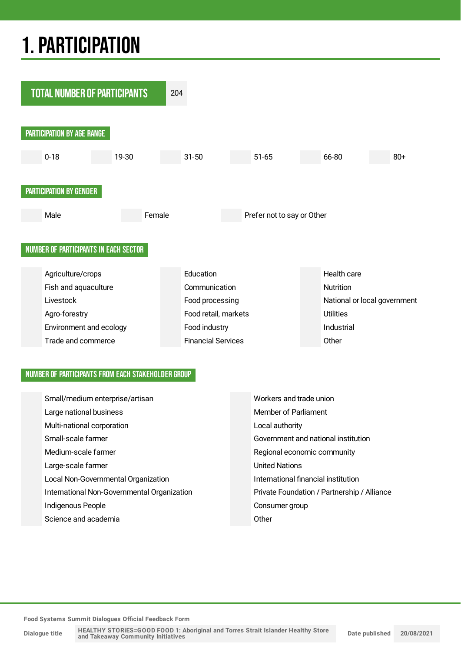## 1.PARTICIPATION



#### NUMBER OF PARTICIPANTS FROM EACH STAKEHOLDER GROUP

| Small/medium enterprise/artisan |                                             | Workers and trade union                     |  |  |
|---------------------------------|---------------------------------------------|---------------------------------------------|--|--|
|                                 | Large national business                     | Member of Parliament                        |  |  |
|                                 | Multi-national corporation                  | Local authority                             |  |  |
|                                 | Small-scale farmer                          | Government and national institution         |  |  |
|                                 | Medium-scale farmer                         | Regional economic community                 |  |  |
|                                 | Large-scale farmer                          | <b>United Nations</b>                       |  |  |
|                                 | Local Non-Governmental Organization         | International financial institution         |  |  |
|                                 | International Non-Governmental Organization | Private Foundation / Partnership / Alliance |  |  |
|                                 | Indigenous People                           | Consumer group                              |  |  |
|                                 | Science and academia                        | Other                                       |  |  |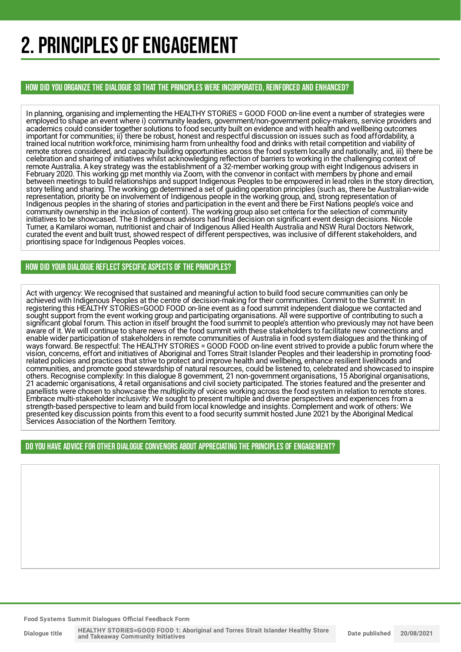## 2. PRINCIPLES OF ENGAGEMENT

HOW DID YOU ORGANIZE THE DIALOGUE SO THAT THE PRINCIPLES WERE INCORPORATED, REINFORCED AND ENHANCED?

In planning, organising and implementing the HEALTHY STORiES = GOOD FOOD on-line event a number of strategies were employed to shape an event where i) community leaders, government/non-government policy-makers, service providers and academics could consider together solutions to food security built on evidence and with health and wellbeing outcomes important for communities; ii) there be robust, honest and respectful discussion on issues such as food affordability, a trained local nutrition workforce, minimising harm from unhealthy food and drinks with retail competition and viability of remote stores considered, and capacity building opportunities across the food system locally and nationally; and, iii) there be celebration and sharing of initiatives whilst acknowledging reflection of barriers to working in the challenging context of remote Australia. A key strategy was the establishment of a 32-member working group with eight Indigenous advisers in February 2020. This working gp met monthly via Zoom, with the convenor in contact with members by phone and email between meetings to build relationships and support Indigenous Peoples to be empowered in lead roles in the story direction, story telling and sharing. The working gp determined a set of guiding operation principles (such as, there be Australian-wide representation, priority be on involvement of Indigenous people in the working group, and, strong representation of Indigenous peoples in the sharing of stories and participation in the event and there be First Nations people's voice and community ownership in the inclusion of content). The working group also set criteria for the selection of community initiatives to be showcased. The 8 Indigenous advisors had final decision on significant event design decisions. Nicole Turner, a Kamilaroi woman, nutritionist and chair of Indigenous Allied Health Australia and NSW Rural Doctors Network, curated the event and built trust, showed respect of different perspectives, was inclusive of different stakeholders, and prioritising space for Indigenous Peoples voices.

#### HOW DID YOUR DIALOGUE REFLECT SPECIFIC ASPECTS OF THE PRINCIPLES?

Act with urgency: We recognised that sustained and meaningful action to build food secure communities can only be achieved with Indigenous Peoples at the centre of decision-making for their communities. Commit to the Summit: In registering this HEALTHY STORiES=GOOD FOOD on-line event as a food summit independent dialogue we contacted and sought support from the event working group and participating organisations. All were supportive of contributing to such a significant global forum. This action in itself brought the food summit to people's attention who previously may not have been aware of it. We will continue to share news of the food summit with these stakeholders to facilitate new connections and enable wider participation of stakeholders in remote communities of Australia in food system dialogues and the thinking of ways forward. Be respectful: The HEALTHY STORiES = GOOD FOOD on-line event strived to provide a public forum where the vision, concerns, effort and initiatives of Aboriginal and Torres Strait Islander Peoples and their leadership in promoting foodrelated policies and practices that strive to protect and improve health and wellbeing, enhance resilient livelihoods and communities, and promote good stewardship of natural resources, could be listened to, celebrated and showcased to inspire others. Recognise complexity: In this dialogue 8 government, 21 non-government organisations, 15 Aboriginal organisations, 21 academic organisations, 4 retail organisations and civil society participated. The stories featured and the presenter and panellists were chosen to showcase the multiplicity of voices working across the food system in relation to remote stores. Embrace multi-stakeholder inclusivity: We sought to present multiple and diverse perspectives and experiences from a strength-based perspective to learn and build from local knowledge and insights. Complement and work of others: We presented key discussion points from this event to a food security summit hosted June 2021 by the Aboriginal Medical Services Association of the Northern Territory.

#### DO YOU HAVE ADVICE FOR OTHER DIALOGUE CONVENORS ABOUT APPRECIATING THE PRINCIPLES OF ENGAGEMENT?

**Food Systems Summit Dialogues Official Feedback Form**

**Dialogue title HEALTHY STORiES=GOOD FOOD 1: Aboriginal and Torres Strait Islander Healthy Store and Takeaway Community Initiatives Date published 20/08/2021**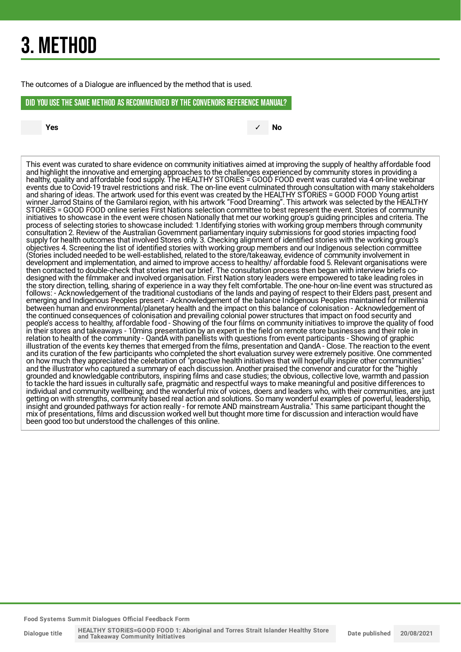## 3. METHOD

The outcomes of a Dialogue are influenced by the method that is used.

#### DID YOU USE THE SAME METHOD AS RECOMMENDED BYTHE CONVENORS REFERENCE MANUAL?

**Yes** ✓ **No**

This event was curated to share evidence on community initiatives aimed at improving the supply of healthy affordable food and highlight the innovative and emerging approaches to the challenges experienced by community stores in providing a healthy, quality and affordable food supply. The HEALTHY STORiES = GOOD FOOD event was curated via 4 on-line webinar events due to Covid-19 travel restrictions and risk. The on-line event culminated through consultation with many stakeholders and sharing of ideas. The artwork used for this event was created by the HEALTHY STORiES = GOOD FOOD Young artist winner Jarrod Stains of the Gamilaroi region, with his artwork "Food Dreaming". This artwork was selected by the HEALTHY STORiES = GOOD FOOD online series First Nations selection committee to best represent the event. Stories of community initiatives to showcase in the event were chosen Nationally that met our working group's guiding principles and criteria. The process of selecting stories to showcase included: 1.Identifying stories with working group members through community consultation 2. Review of the Australian Government parliamentary inquiry submissions for good stories impacting food supply for health outcomes that involved Stores only. 3. Checking alignment of identified stories with the working group's objectives 4. Screening the list of identified stories with working group members and our Indigenous selection committee (Stories included needed to be well-established, related to the store/takeaway, evidence of community involvement in development and implementation, and aimed to improve access to healthy/ affordable food 5. Relevant organisations were then contacted to double-check that stories met our brief. The consultation process then began with interview briefs codesigned with the filmmaker and involved organisation. First Nation story leaders were empowered to take leading roles in the story direction, telling, sharing of experience in a way they felt comfortable. The one-hour on-line event was structured as follows: - Acknowledgement of the traditional custodians of the lands and paying of respect to their Elders past, present and emerging and Indigenous Peoples present - Acknowledgement of the balance Indigenous Peoples maintained for millennia between human and environmental/planetary health and the impact on this balance of colonisation - Acknowledgement of the continued consequences of colonisation and prevailing colonial power structures that impact on food security and people's access to healthy, affordable food - Showing of the four films on community initiatives to improve the quality of food in their stores and takeaways - 10mins presentation by an expert in the field on remote store businesses and their role in relation to health of the community - QandA with panellists with questions from event participants - Showing of graphic illustration of the events key themes that emerged from the films, presentation and QandA - Close. The reaction to the event and its curation of the few participants who completed the short evaluation survey were extremely positive. One commented on how much they appreciated the celebration of "proactive health initiatives that will hopefully inspire other communities" and the illustrator who captured a summary of each discussion. Another praised the convenor and curator for the "highly grounded and knowledgable contributors, inspiring films and case studies; the obvious, collective love, warmth and passion to tackle the hard issues in culturally safe, pragmatic and respectful ways to make meaningful and positive differences to individual and community wellbeing; and the wonderful mix of voices, doers and leaders who, with their communities, are just getting on with strengths, community based real action and solutions. So many wonderful examples of powerful, leadership, insight and grounded pathways for action really - for remote AND mainstream Australia." This same participant thought the mix of presentations, films and discussion worked well but thought more time for discussion and interaction would have been good too but understood the challenges of this online.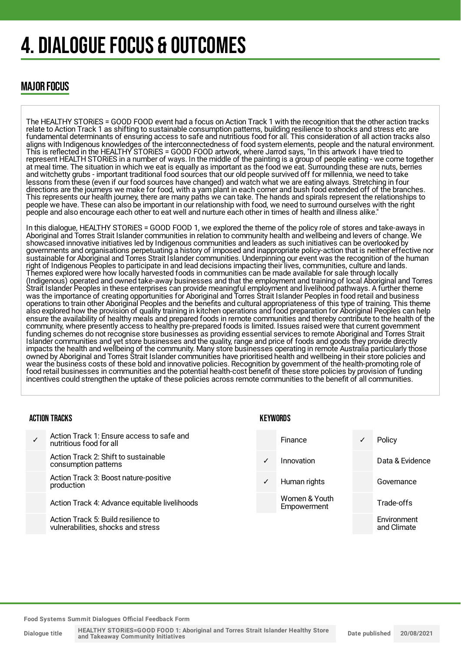## 4. DIALOGUE FOCUS & OUTCOMES

### MAJOR FOCUS

The HEALTHY STORiES = GOOD FOOD event had a focus on Action Track 1 with the recognition that the other action tracks relate to Action Track 1 as shifting to sustainable consumption patterns, building resilience to shocks and stress etc are fundamental determinants of ensuring access to safe and nutritious food for all. This consideration of all action tracks also aligns with Indigenous knowledges of the interconnectedness of food system elements, people and the natural environment. This is reflected in the HEALTHY STORiES = GOOD FOOD artwork, where Jarrod says, "In this artwork I have tried to represent HEALTH STORiES in a number of ways. In the middle of the painting is a group of people eating - we come together at meal time. The situation in which we eat is equally as important as the food we eat. Surrounding these are nuts, berries and witchetty grubs - important traditional food sources that our old people survived off for millennia, we need to take lessons from these (even if our food sources have changed) and watch what we are eating always. Stretching in four directions are the journeys we make for food, with a yam plant in each corner and bush food extended off of the branches. This represents our health journey, there are many paths we can take. The hands and spirals represent the relationships to people we have. These can also be important in our relationship with food, we need to surround ourselves with the right people and also encourage each other to eat well and nurture each other in times of health and illness alike."

In this dialogue, HEALTHY STORiES = GOOD FOOD 1, we explored the theme of the policy role of stores and take-aways in Aboriginal and Torres Strait Islander communities in relation to community health and wellbeing and levers of change. We showcased innovative initiatives led by Indigenous communities and leaders as such initiatives can be overlooked by governments and organisations perpetuating a history of imposed and inappropriate policy-action that is neither effective nor sustainable for Aboriginal and Torres Strait Islander communities. Underpinning our event was the recognition of the human right of Indigenous Peoples to participate in and lead decisions impacting their lives, communities, culture and lands. Themes explored were how locally harvested foods in communities can be made available for sale through locally (Indigenous) operated and owned take-away businesses and that the employment and training of local Aboriginal and Torres Strait Islander Peoples in these enterprises can provide meaningful employment and livelihood pathways. A further theme was the importance of creating opportunities for Aboriginal and Torres Strait Islander Peoples in food retail and business operations to train other Aboriginal Peoples and the benefits and cultural appropriateness of this type of training. This theme also explored how the provision of quality training in kitchen operations and food preparation for Aboriginal Peoples can help ensure the availability of healthy meals and prepared foods in remote communities and thereby contribute to the health of the community, where presently access to healthy pre-prepared foods is limited. Issues raised were that current government funding schemes do not recognise store businesses as providing essential services to remote Aboriginal and Torres Strait Islander communities and yet store businesses and the quality, range and price of foods and goods they provide directly impacts the health and wellbeing of the community. Many store businesses operating in remote Australia particularly those owned by Aboriginal and Torres Strait Islander communities have prioritised health and wellbeing in their store policies and wear the business costs of these bold and innovative policies. Recognition by government of the health-promoting role of food retail businesses in communities and the potential health-cost benefit of these store policies by provision of funding incentives could strengthen the uptake of these policies across remote communities to the benefit of all communities.

#### ACTION TRACKS

| Action Track 1: Ensure access to safe and<br>nutritious food for all      |              | <b>Finance</b>               | Policy                     |
|---------------------------------------------------------------------------|--------------|------------------------------|----------------------------|
| Action Track 2: Shift to sustainable<br>consumption patterns              | ✓            | Innovation                   | Data & Evidence            |
| Action Track 3: Boost nature-positive<br>production                       | $\checkmark$ | Human rights                 | Governance                 |
| Action Track 4: Advance equitable livelihoods                             |              | Women & Youth<br>Empowerment | Trade-offs                 |
| Action Track 5: Build resilience to<br>vulnerabilities, shocks and stress |              |                              | Environment<br>and Climate |

**KEYWORDS**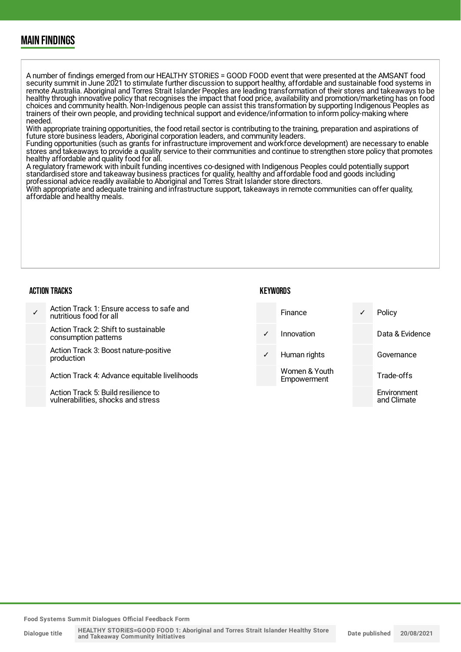### MAIN FINDINGS

A number of findings emerged from our HEALTHY STORiES = GOOD FOOD event that were presented at the AMSANT food security summit in June 2021 to stimulate further discussion to support healthy, affordable and sustainable food systems in remote Australia. Aboriginal and Torres Strait Islander Peoples are leading transformation of their stores and takeaways to be healthy through innovative policy that recognises the impact that food price, availability and promotion/marketing has on food choices and community health. Non-Indigenous people can assist this transformation by supporting Indigenous Peoples as trainers of their own people, and providing technical support and evidence/information to inform policy-making where needed.

With appropriate training opportunities, the food retail sector is contributing to the training, preparation and aspirations of future store business leaders, Aboriginal corporation leaders, and community leaders.

Funding opportunities (such as grants for infrastructure improvement and workforce development) are necessary to enable stores and takeaways to provide a quality service to their communities and continue to strengthen store policy that promotes healthy affordable and quality food for all.

A regulatory framework with inbuilt funding incentives co-designed with Indigenous Peoples could potentially support standardised store and takeaway business practices for quality, healthy and affordable food and goods including professional advice readily available to Aboriginal and Torres Strait Islander store directors.

With appropriate and adequate training and infrastructure support, takeaways in remote communities can offer quality, affordable and healthy meals.

#### ACTION TRACKS

#### **KEYWORDS**

and Climate

✓ Action Track 1: Ensure access to safe and nutritious food for all Action Track 2: Shift to sustainable consumption patterns Action Track 3: Boost nature-positive production Action Track 4: Advance equitable livelihoods Action Track 5: Build resilience to Finance ✓ Policy Innovation Data & Evidence Human rights Governance Women & Youth **Empowerment** Trade-offs Environment

vulnerabilities, shocks and stress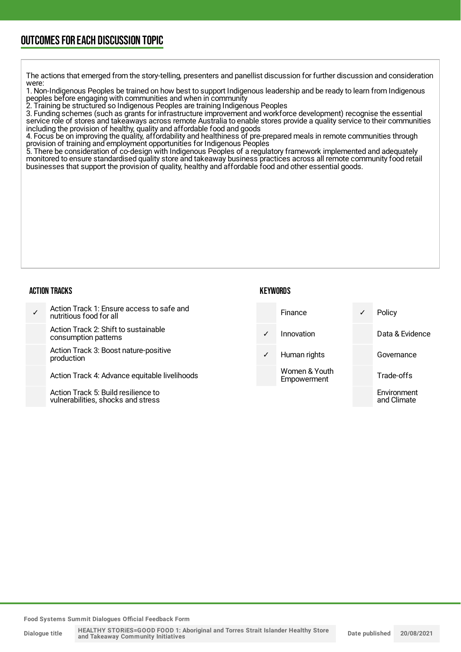### OUTCOMESFOR EACH DISCUSSION TOPIC

The actions that emerged from the story-telling, presenters and panellist discussion for further discussion and consideration were:

1. Non-Indigenous Peoples be trained on how best to support Indigenous leadership and be ready to learn from Indigenous peoples before engaging with communities and when in community

2. Training be structured so Indigenous Peoples are training Indigenous Peoples

3. Funding schemes (such as grants for infrastructure improvement and workforce development) recognise the essential service role of stores and takeaways across remote Australia to enable stores provide a quality service to their communities including the provision of healthy, quality and affordable food and goods

4. Focus be on improving the quality, affordability and healthiness of pre-prepared meals in remote communities through provision of training and employment opportunities for Indigenous Peoples

5. There be consideration of co-design with Indigenous Peoples of a regulatory framework implemented and adequately monitored to ensure standardised quality store and takeaway business practices across all remote community food retail businesses that support the provision of quality, healthy and affordable food and other essential goods.

#### ACTION TRACKS

#### **KEYWORDS**

and Climate

✓ Action Track 1: Ensure access to safe and nutritious food for all Action Track 2: Shift to sustainable consumption patterns Action Track 3: Boost nature-positive production Action Track 4: Advance equitable livelihoods Action Track 5: Build resilience to Finance ✓ Policy Innovation Data & Evidence Human rights Governance Women & Youth **Empowerment** Trade-offs Environment

**Food Systems Summit Dialogues Official Feedback Form**

vulnerabilities, shocks and stress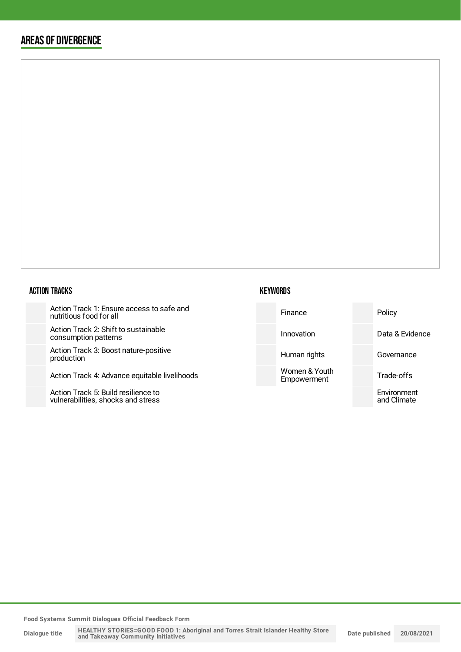### AREAS OF DIVERGENCE

#### ACTION TRACKS

Action Track 1: Ensure access to safe and nutritious food for all

Action Track 2: Shift to sustainable consumption patterns

Action Track 3: Boost nature-positive production

Action Track 4: Advance equitable liveli

Action Track 5: Build resilience to vulnerabilities, shocks and stress

#### **KEYWORDS**

| and   | Finance                      | Policy                     |
|-------|------------------------------|----------------------------|
|       | Innovation                   | Data & Evidence            |
|       | Human rights                 | Governance                 |
| hoods | Women & Youth<br>Empowerment | Trade-offs                 |
|       |                              | Environment<br>and Climate |